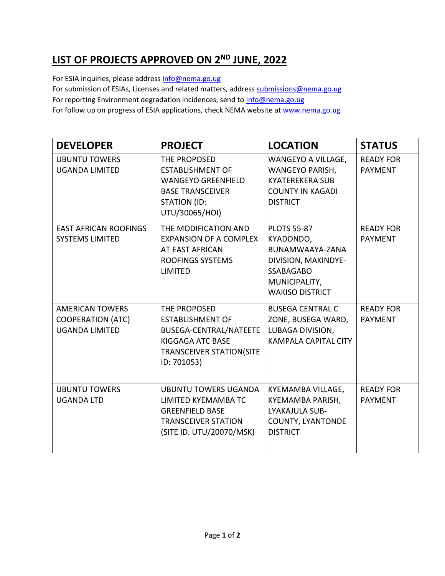## **LIST OF PROJECTS APPROVED ON 2 ND JUNE, 2022**

For ESIA inquiries, please addres[s info@nema.go.ug](mailto:info@nema.go.ug)

For submission of ESIAs, Licenses and related matters, address [submissions@nema.go.ug](mailto:submissions@nema.go.ug)

For reporting Environment degradation incidences, send t[o info@nema.go.ug](mailto:info@nema.go.ug)

For follow up on progress of ESIA applications, check NEMA website at [www.nema.go.ug](http://www.nema.go.ug/)

| <b>DEVELOPER</b>                                                            | <b>PROJECT</b>                                                                                                                          | <b>LOCATION</b>                                                                                                                          | <b>STATUS</b>                      |
|-----------------------------------------------------------------------------|-----------------------------------------------------------------------------------------------------------------------------------------|------------------------------------------------------------------------------------------------------------------------------------------|------------------------------------|
| <b>UBUNTU TOWERS</b><br><b>UGANDA LIMITED</b>                               | THE PROPOSED<br><b>ESTABLISHMENT OF</b><br><b>WANGEYO GREENFIELD</b><br><b>BASE TRANSCEIVER</b><br>STATION (ID:<br>UTU/30065/HOI)       | WANGEYO A VILLAGE,<br>WANGEYO PARISH,<br><b>KYATEREKERA SUB</b><br><b>COUNTY IN KAGADI</b><br><b>DISTRICT</b>                            | <b>READY FOR</b><br><b>PAYMENT</b> |
| <b>EAST AFRICAN ROOFINGS</b><br><b>SYSTEMS LIMITED</b>                      | THE MODIFICATION AND<br><b>EXPANSION OF A COMPLEX</b><br>AT EAST AFRICAN<br><b>ROOFINGS SYSTEMS</b><br>LIMITED                          | <b>PLOTS 55-87</b><br>KYADONDO,<br>BUNAMWAAYA-ZANA<br>DIVISION, MAKINDYE-<br><b>SSABAGABO</b><br>MUNICIPALITY,<br><b>WAKISO DISTRICT</b> | <b>READY FOR</b><br><b>PAYMENT</b> |
| <b>AMERICAN TOWERS</b><br><b>COOPERATION (ATC)</b><br><b>UGANDA LIMITED</b> | THE PROPOSED<br><b>ESTABLISHMENT OF</b><br>BUSEGA-CENTRAL/NATEETE<br>KIGGAGA ATC BASE<br><b>TRANSCEIVER STATION(SITE</b><br>ID: 701053) | <b>BUSEGA CENTRAL C</b><br>ZONE, BUSEGA WARD,<br>LUBAGA DIVISION,<br><b>KAMPALA CAPITAL CITY</b>                                         | <b>READY FOR</b><br><b>PAYMENT</b> |
| <b>UBUNTU TOWERS</b><br><b>UGANDA LTD</b>                                   | <b>UBUNTU TOWERS UGANDA</b><br>LIMITED KYEMAMBA TC<br><b>GREENFIELD BASE</b><br><b>TRANSCEIVER STATION</b><br>(SITE ID. UTU/20070/MSK)  | KYEMAMBA VILLAGE,<br>KYEMAMBA PARISH,<br>LYAKAJULA SUB-<br><b>COUNTY, LYANTONDE</b><br><b>DISTRICT</b>                                   | <b>READY FOR</b><br><b>PAYMENT</b> |